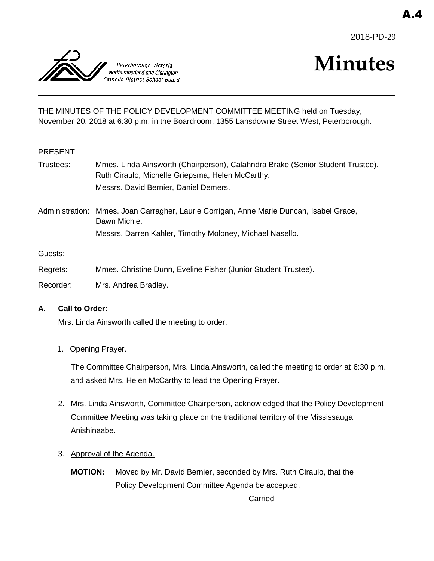



# **Minutes**

THE MINUTES OF THE POLICY DEVELOPMENT COMMITTEE MEETING held on Tuesday, November 20, 2018 at 6:30 p.m. in the Boardroom, 1355 Lansdowne Street West, Peterborough.

#### PRESENT

- Trustees: Mmes. Linda Ainsworth (Chairperson), Calahndra Brake (Senior Student Trustee), Ruth Ciraulo, Michelle Griepsma, Helen McCarthy. Messrs. David Bernier, Daniel Demers.
- Administration: Mmes. Joan Carragher, Laurie Corrigan, Anne Marie Duncan, Isabel Grace, Dawn Michie. Messrs. Darren Kahler, Timothy Moloney, Michael Nasello.

Guests:

- Regrets: Mmes. Christine Dunn, Eveline Fisher (Junior Student Trustee).
- Recorder: Mrs. Andrea Bradley.

#### **A. Call to Order**:

Mrs. Linda Ainsworth called the meeting to order.

#### 1. Opening Prayer.

The Committee Chairperson, Mrs. Linda Ainsworth, called the meeting to order at 6:30 p.m. and asked Mrs. Helen McCarthy to lead the Opening Prayer.

- 2. Mrs. Linda Ainsworth, Committee Chairperson, acknowledged that the Policy Development Committee Meeting was taking place on the traditional territory of the Mississauga Anishinaabe.
- 3. Approval of the Agenda.
	- **MOTION:** Moved by Mr. David Bernier, seconded by Mrs. Ruth Ciraulo, that the Policy Development Committee Agenda be accepted.

Carried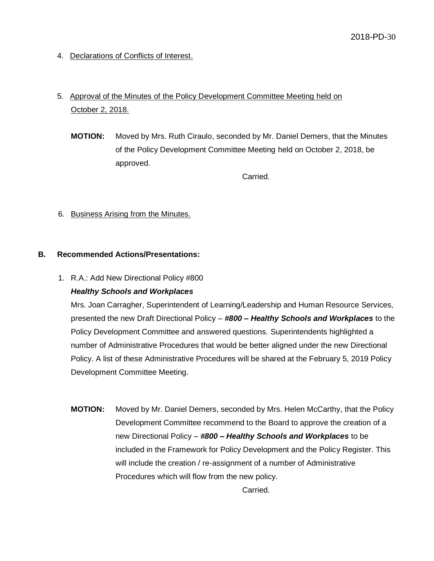4. Declarations of Conflicts of Interest.

## 5. Approval of the Minutes of the Policy Development Committee Meeting held on October 2, 2018.

**MOTION:** Moved by Mrs. Ruth Ciraulo, seconded by Mr. Daniel Demers, that the Minutes of the Policy Development Committee Meeting held on October 2, 2018, be approved.

Carried.

6. Business Arising from the Minutes.

#### **B. Recommended Actions/Presentations:**

1. R.A.: Add New Directional Policy #800

### *Healthy Schools and Workplaces*

Mrs. Joan Carragher, Superintendent of Learning/Leadership and Human Resource Services, presented the new Draft Directional Policy – *#800 – Healthy Schools and Workplaces* to the Policy Development Committee and answered questions. Superintendents highlighted a number of Administrative Procedures that would be better aligned under the new Directional Policy. A list of these Administrative Procedures will be shared at the February 5, 2019 Policy Development Committee Meeting.

**MOTION:** Moved by Mr. Daniel Demers, seconded by Mrs. Helen McCarthy, that the Policy Development Committee recommend to the Board to approve the creation of a new Directional Policy – *#800 – Healthy Schools and Workplaces* to be included in the Framework for Policy Development and the Policy Register. This will include the creation / re-assignment of a number of Administrative Procedures which will flow from the new policy.

Carried.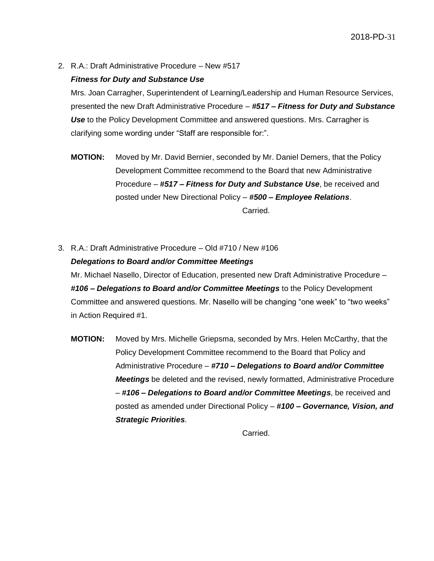2. R.A.: Draft Administrative Procedure – New #517

#### *Fitness for Duty and Substance Use*

Mrs. Joan Carragher, Superintendent of Learning/Leadership and Human Resource Services, presented the new Draft Administrative Procedure – *#517 – Fitness for Duty and Substance Use* to the Policy Development Committee and answered questions. Mrs. Carragher is clarifying some wording under "Staff are responsible for:".

- **MOTION:** Moved by Mr. David Bernier, seconded by Mr. Daniel Demers, that the Policy Development Committee recommend to the Board that new Administrative Procedure – *#517 – Fitness for Duty and Substance Use*, be received and posted under New Directional Policy – *#500 – Employee Relations*. Carried.
- 3. R.A.: Draft Administrative Procedure Old #710 / New #106 *Delegations to Board and/or Committee Meetings*

Mr. Michael Nasello, Director of Education, presented new Draft Administrative Procedure – *#106 – Delegations to Board and/or Committee Meetings* to the Policy Development Committee and answered questions. Mr. Nasello will be changing "one week" to "two weeks" in Action Required #1.

**MOTION:** Moved by Mrs. Michelle Griepsma, seconded by Mrs. Helen McCarthy, that the Policy Development Committee recommend to the Board that Policy and Administrative Procedure – *#710 – Delegations to Board and/or Committee Meetings* be deleted and the revised, newly formatted, Administrative Procedure – *#106 – Delegations to Board and/or Committee Meetings*, be received and posted as amended under Directional Policy – *#100 – Governance, Vision, and Strategic Priorities*.

Carried.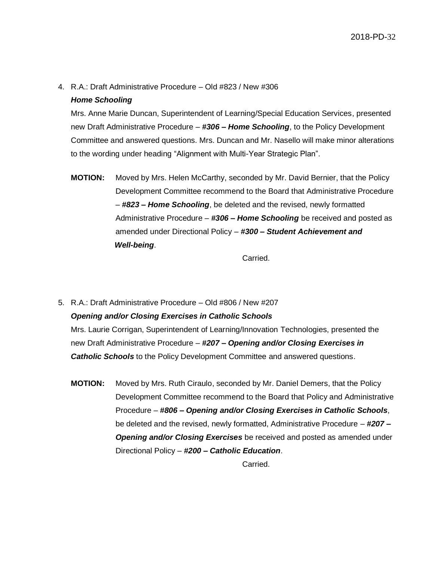4. R.A.: Draft Administrative Procedure – Old #823 / New #306

#### *Home Schooling*

Mrs. Anne Marie Duncan, Superintendent of Learning/Special Education Services, presented new Draft Administrative Procedure – *#306 – Home Schooling*, to the Policy Development Committee and answered questions. Mrs. Duncan and Mr. Nasello will make minor alterations to the wording under heading "Alignment with Multi-Year Strategic Plan".

**MOTION:** Moved by Mrs. Helen McCarthy, seconded by Mr. David Bernier, that the Policy Development Committee recommend to the Board that Administrative Procedure – *#823 – Home Schooling*, be deleted and the revised, newly formatted Administrative Procedure – *#306 – Home Schooling* be received and posted as amended under Directional Policy – *#300 – Student Achievement and Well-being*.

Carried.

5. R.A.: Draft Administrative Procedure – Old #806 / New #207

### *Opening and/or Closing Exercises in Catholic Schools*

Mrs. Laurie Corrigan, Superintendent of Learning/Innovation Technologies, presented the new Draft Administrative Procedure – *#207 – Opening and/or Closing Exercises in Catholic Schools* to the Policy Development Committee and answered questions.

**MOTION:** Moved by Mrs. Ruth Ciraulo, seconded by Mr. Daniel Demers, that the Policy Development Committee recommend to the Board that Policy and Administrative Procedure – *#806 – Opening and/or Closing Exercises in Catholic Schools*, be deleted and the revised, newly formatted, Administrative Procedure – *#207 – Opening and/or Closing Exercises* be received and posted as amended under Directional Policy – *#200 – Catholic Education*.

Carried.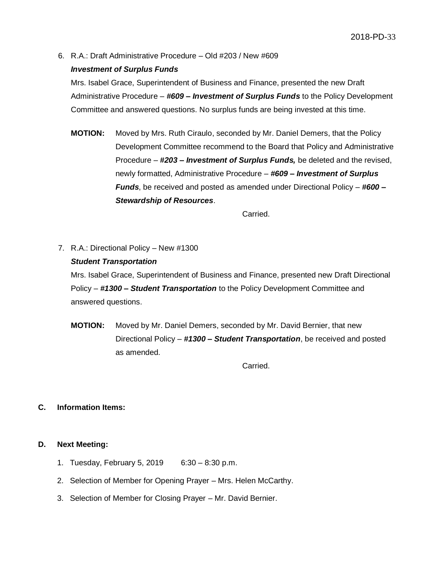6. R.A.: Draft Administrative Procedure – Old #203 / New #609

#### *Investment of Surplus Funds*

Mrs. Isabel Grace, Superintendent of Business and Finance, presented the new Draft Administrative Procedure – *#609 – Investment of Surplus Funds* to the Policy Development Committee and answered questions. No surplus funds are being invested at this time.

**MOTION:** Moved by Mrs. Ruth Ciraulo, seconded by Mr. Daniel Demers, that the Policy Development Committee recommend to the Board that Policy and Administrative Procedure – *#203 – Investment of Surplus Funds,* be deleted and the revised, newly formatted, Administrative Procedure – *#609 – Investment of Surplus Funds*, be received and posted as amended under Directional Policy – *#600 – Stewardship of Resources*.

Carried.

7. R.A.: Directional Policy – New #1300

#### *Student Transportation*

Mrs. Isabel Grace, Superintendent of Business and Finance, presented new Draft Directional Policy – *#1300 – Student Transportation* to the Policy Development Committee and answered questions.

**MOTION:** Moved by Mr. Daniel Demers, seconded by Mr. David Bernier, that new Directional Policy – *#1300 – Student Transportation*, be received and posted as amended.

Carried.

#### **C. Information Items:**

#### **D. Next Meeting:**

- 1. Tuesday, February 5, 2019 6:30 8:30 p.m.
- 2. Selection of Member for Opening Prayer Mrs. Helen McCarthy.
- 3. Selection of Member for Closing Prayer Mr. David Bernier.